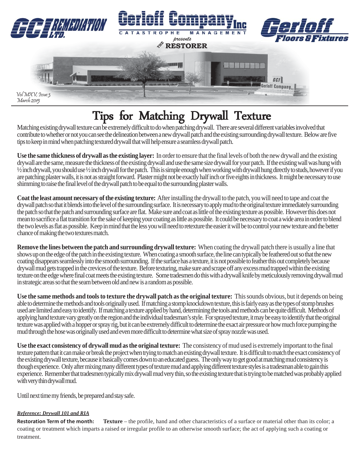

## Tips for Matching Drywall Texture

Matching existing drywall texture can be extremely difficult to do when patching drywall. There are several different variables involved that contribute to whether or not you can see the delineation between a new drywall patch and the existing surrounding drywall texture. Below are five tips to keep in mind when patching textured drywall that will help ensure a seamless drywall patch.

**Use the same thickness of drywall as the existing layer:** In order to ensure that the final levels of both the new drywall and the existing drywall are the same, measure the thickness of the existing drywall and use the same size drywall for your patch. If the existing wall was hung with ½ inch drywall, you should use ½ inch drywall for the patch. This is simple enough when working with drywall hung directly to studs, however if you are patching plaster walls, it is not as straight forward. Plaster might not be exactly half inch or five eights in thickness. It might be necessary to use shimming to raise the final level of the drywall patch to be equal to the surrounding plaster walls.

**Coat the least amount necessary of the existing texture:** After installing the drywall to the patch, you will need to tape and coat the drywall patch so that it blends into the level of the surrounding surface. It is necessary to apply mud to the original texture immediately surrounding the patch so that the patch and surrounding surface are flat. Make sure and coat as little of the existing texture as possible. However this does not mean to sacrifice a flat transition for the sake of keeping your coating as little as possible. It could be necessary to coat a wide area in order to blend the two levels as flat as possible. Keep in mind that the less you will need to retexture the easier it will be to control your new texture and the better chance of making the two textures match.

**Remove the lines between the patch and surrounding drywall texture:** When coating the drywall patch there is usually a line that shows up on the edge of the patch in the existing texture. When coating a smooth surface, the line can typically be feathered out so that the new coating disappears seamlessly into the smooth surrounding. If the surface has a texture, it is not possible to feather this out completely because drywall mud gets trapped in the crevices of the texture. Before texturing, make sure and scrape off any excess mud trapped within the existing texture on the edge where final coat meets the existing texture. Some tradesmen do this with a drywall knife by meticulously removing drywall mud in strategic areas so that the seam between old and new is a random as possible.

**Use the same methods and tools to texture the drywall patch as the original texture:** This sounds obvious, but it depends on being able to determine the methods and tools originally used. If matching a stomp knockdown texture, this is fairly easy as the types of stomp brushes used are limited and easy to identify. If matching a texture applied by hand, determining the tools and methods can be quite difficult. Methods of applying hand texture vary greatly on the region and the individual tradesman's style. For sprayed texture, it may be easy to identify that the original texture was applied with a hopper or spray rig, but it can be extremely difficult to determine the exact air pressure or how much force pumping the mud through the hose was originally used and even more difficult to determine what size of spray nozzle was used.

**Use the exact consistency of drywall mud as the original texture:** The consistency of mud used is extremely important to the final texture pattern that it can make or break the project when trying to match an existing drywall texture. It is difficult to match the exact consistency of the existing drywall texture, because it basically comes down to an educated guess. The only way to get good at matching mud consistency is though experience. Only after mixing many different types of texture mud and applying different texture styles is a tradesman able to gain this experience. Remember that tradesmen typically mix drywall mud very thin, so the existing texture that is trying to be matched was probably applied with very thin drywall mud.

Until next time my friends, be prepared and stay safe.

## *Reference: Drywall 101 and RIA*

**Restoration Term of the month: Texture** – the profile, hand and other characteristics of a surface or material other than its color; a coating or treatment which imparts a raised or irregular profile to an otherwise smooth surface; the act of applying such a coating or treatment.